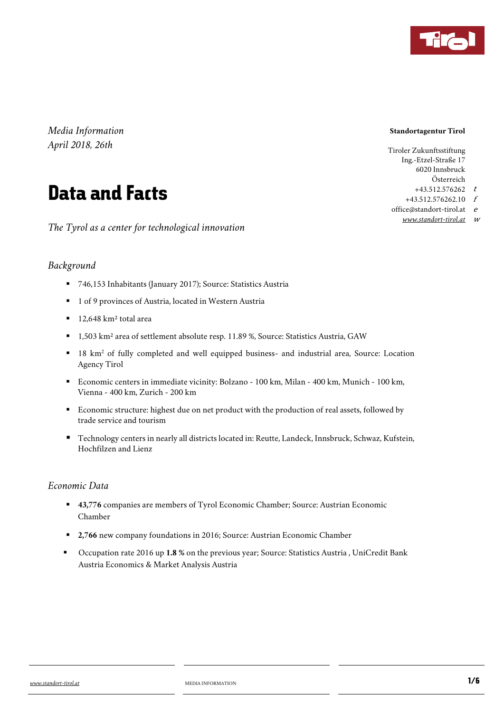

#### **Standortagentur Tirol**

Tiroler Zukunftsstiftung Ing.-Etzel-Straße 17 6020 Innsbruck Österreich  $+43.512.576262 \t t$ +43.512.576262.10 f

office@standort-tirol.at  $e$ *www.standort-tirol.at* <sup>w</sup>

*Media Information April 2018, 26th* 

# Data and Facts

*The Tyrol as a center for technological innovation* 

# *Background*

- 746,153 Inhabitants (January 2017); Source: Statistics Austria
- 1 of 9 provinces of Austria, located in Western Austria
- $12,648$  km<sup>2</sup> total area
- 1,503 km<sup>2</sup> area of settlement absolute resp. 11.89 %, Source: Statistics Austria, GAW
- 18 km<sup>2</sup> of fully completed and well equipped business- and industrial area, Source: Location Agency Tirol
- Economic centers in immediate vicinity: Bolzano 100 km, Milan 400 km, Munich 100 km, Vienna - 400 km, Zurich - 200 km
- Economic structure: highest due on net product with the production of real assets, followed by trade service and tourism
- Technology centers in nearly all districts located in: Reutte, Landeck, Innsbruck, Schwaz, Kufstein, Hochfilzen and Lienz

# *Economic Data*

- **43,776** companies are members of Tyrol Economic Chamber; Source: Austrian Economic Chamber
- **2,766** new company foundations in 2016; Source: Austrian Economic Chamber
- Occupation rate 2016 up **1.8 %** on the previous year; Source: Statistics Austria , UniCredit Bank Austria Economics & Market Analysis Austria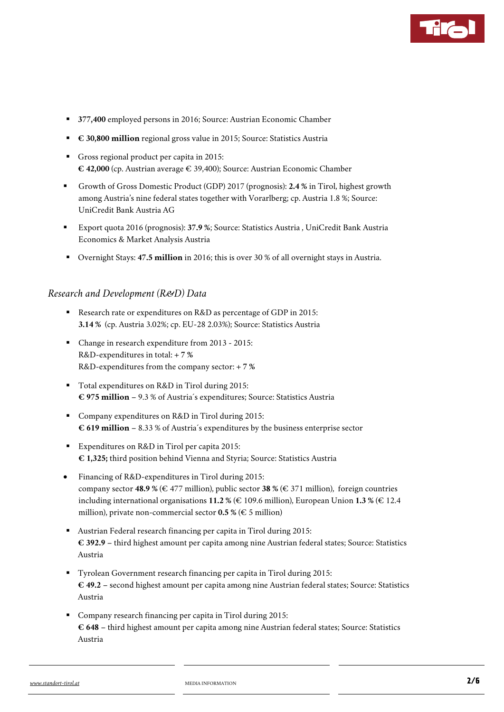

- **377,400** employed persons in 2016; Source: Austrian Economic Chamber
- **€ 30,800 million** regional gross value in 2015; Source: Statistics Austria
- Gross regional product per capita in 2015: **€ 42,000** (cp. Austrian average € 39,400); Source: Austrian Economic Chamber
- Growth of Gross Domestic Product (GDP) 2017 (prognosis): **2.4 %** in Tirol, highest growth among Austria's nine federal states together with Vorarlberg; cp. Austria 1.8 %; Source: UniCredit Bank Austria AG
- Export quota 2016 (prognosis): **37.9 %**; Source: Statistics Austria , UniCredit Bank Austria Economics & Market Analysis Austria
- Overnight Stays: **47.5 million** in 2016; this is over 30 % of all overnight stays in Austria.

## *Research and Development (R&D) Data*

- Research rate or expenditures on R&D as percentage of GDP in 2015: **3.14 %** (cp. Austria 3.02%; cp. EU-28 2.03%); Source: Statistics Austria
- Change in research expenditure from 2013 2015: R&D-expenditures in total: **+ 7 %** R&D-expenditures from the company sector: **+ 7 %**
- Total expenditures on R&D in Tirol during 2015: **€ 975 million** – 9.3 % of Austria´s expenditures; Source: Statistics Austria
- Company expenditures on R&D in Tirol during 2015: **€ 619 million** – 8.33 % of Austria´s expenditures by the business enterprise sector
- Expenditures on R&D in Tirol per capita 2015: **€ 1,325;** third position behind Vienna and Styria; Source: Statistics Austria
- Financing of R&D-expenditures in Tirol during 2015: company sector **48.9** % ( $\in$  477 million), public sector **38** % ( $\in$  371 million), foreign countries including international organisations **11.2 %** (€ 109.6 million), European Union **1.3 %** (€ 12.4 million), private non-commercial sector  $0.5\%$  ( $\in$  5 million)
- Austrian Federal research financing per capita in Tirol during 2015: **€ 392.9** – third highest amount per capita among nine Austrian federal states; Source: Statistics Austria
- Tyrolean Government research financing per capita in Tirol during 2015: **€ 49.2** – second highest amount per capita among nine Austrian federal states; Source: Statistics Austria
- Company research financing per capita in Tirol during 2015: **€ 648** – third highest amount per capita among nine Austrian federal states; Source: Statistics Austria

*www.standort-tirol.at* MEDIA INFORMATION 2/6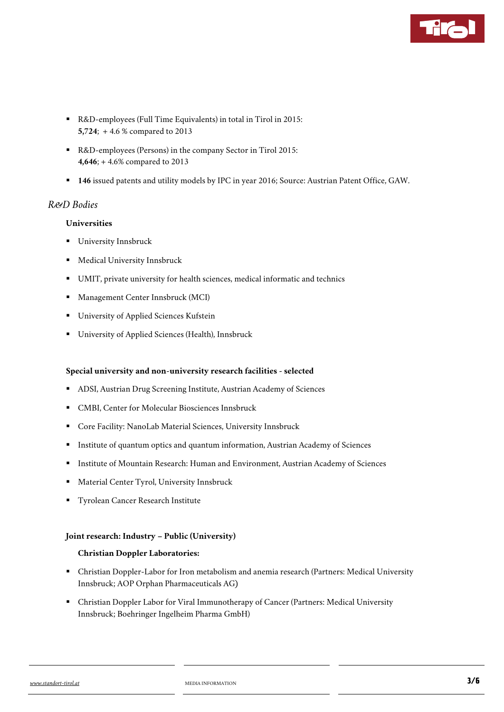

- R&D-employees (Full Time Equivalents) in total in Tirol in 2015: **5,724**; + 4.6 % compared to 2013
- R&D-employees (Persons) in the company Sector in Tirol 2015: **4,646**; + 4.6% compared to 2013
- **146** issued patents and utility models by IPC in year 2016; Source: Austrian Patent Office, GAW.

# *R&D Bodies*

## **Universities**

- **University Innsbruck**
- **Medical University Innsbruck**
- UMIT, private university for health sciences, medical informatic and technics
- **Management Center Innsbruck (MCI)**
- University of Applied Sciences Kufstein
- University of Applied Sciences (Health), Innsbruck

## **Special university and non-university research facilities - selected**

- ADSI, Austrian Drug Screening Institute, Austrian Academy of Sciences
- CMBI, Center for Molecular Biosciences Innsbruck
- Core Facility: NanoLab Material Sciences, University Innsbruck
- Institute of quantum optics and quantum information, Austrian Academy of Sciences
- Institute of Mountain Research: Human and Environment, Austrian Academy of Sciences
- Material Center Tyrol, University Innsbruck
- **Tyrolean Cancer Research Institute**

#### **Joint research: Industry – Public (University)**

#### **Christian Doppler Laboratories:**

- Christian Doppler-Labor for Iron metabolism and anemia research (Partners: Medical University Innsbruck; AOP Orphan Pharmaceuticals AG)
- Christian Doppler Labor for Viral Immunotherapy of Cancer (Partners: Medical University Innsbruck; Boehringer Ingelheim Pharma GmbH)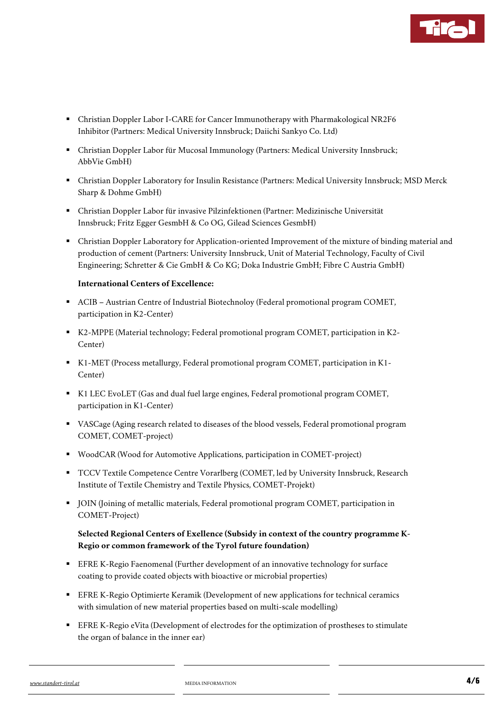

- Christian Doppler Labor I-CARE for Cancer Immunotherapy with Pharmakological NR2F6 Inhibitor (Partners: Medical University Innsbruck; Daiichi Sankyo Co. Ltd)
- Christian Doppler Labor für Mucosal Immunology (Partners: Medical University Innsbruck; AbbVie GmbH)
- Christian Doppler Laboratory for Insulin Resistance (Partners: Medical University Innsbruck; MSD Merck Sharp & Dohme GmbH)
- Christian Doppler Labor für invasive Pilzinfektionen (Partner: Medizinische Universität Innsbruck; Fritz Egger GesmbH & Co OG, Gilead Sciences GesmbH)
- Christian Doppler Laboratory for Application-oriented Improvement of the mixture of binding material and production of cement (Partners: University Innsbruck, Unit of Material Technology, Faculty of Civil Engineering; Schretter & Cie GmbH & Co KG; Doka Industrie GmbH; Fibre C Austria GmbH)

### **International Centers of Excellence:**

- ACIB Austrian Centre of Industrial Biotechnoloy (Federal promotional program COMET, participation in K2-Center)
- K2-MPPE (Material technology; Federal promotional program COMET, participation in K2- Center)
- K1-MET (Process metallurgy, Federal promotional program COMET, participation in K1-Center)
- K1 LEC EvoLET (Gas and dual fuel large engines, Federal promotional program COMET, participation in K1-Center)
- VASCage (Aging research related to diseases of the blood vessels, Federal promotional program COMET, COMET-project)
- WoodCAR (Wood for Automotive Applications, participation in COMET-project)
- TCCV Textile Competence Centre Vorarlberg (COMET, led by University Innsbruck, Research Institute of Textile Chemistry and Textile Physics, COMET-Projekt)
- JOIN (Joining of metallic materials, Federal promotional program COMET, participation in COMET-Project)

## **Selected Regional Centers of Exellence (Subsidy in context of the country programme K-Regio or common framework of the Tyrol future foundation)**

- EFRE K-Regio Faenomenal (Further development of an innovative technology for surface coating to provide coated objects with bioactive or microbial properties)
- EFRE K-Regio Optimierte Keramik (Development of new applications for technical ceramics with simulation of new material properties based on multi-scale modelling)
- EFRE K-Regio eVita (Development of electrodes for the optimization of prostheses to stimulate the organ of balance in the inner ear)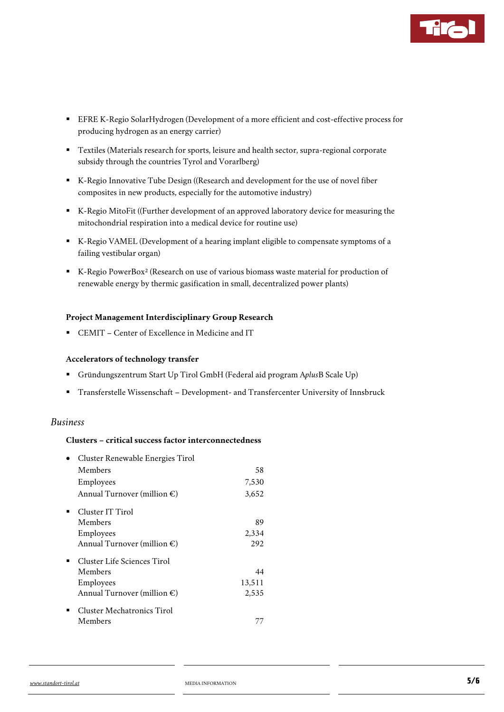

- EFRE K-Regio SolarHydrogen (Development of a more efficient and cost-effective process for producing hydrogen as an energy carrier)
- Textiles (Materials research for sports, leisure and health sector, supra-regional corporate subsidy through the countries Tyrol and Vorarlberg)
- K-Regio Innovative Tube Design ((Research and development for the use of novel fiber composites in new products, especially for the automotive industry)
- K-Regio MitoFit ((Further development of an approved laboratory device for measuring the mitochondrial respiration into a medical device for routine use)
- K-Regio VAMEL (Development of a hearing implant eligible to compensate symptoms of a failing vestibular organ)
- K-Regio PowerBox² (Research on use of various biomass waste material for production of renewable energy by thermic gasification in small, decentralized power plants)

### **Project Management Interdisciplinary Group Research**

CEMIT – Center of Excellence in Medicine and IT

#### **Accelerators of technology transfer**

- Gründungszentrum Start Up Tirol GmbH (Federal aid program A*plus*B Scale Up)
- Transferstelle Wissenschaft Development- and Transfercenter University of Innsbruck

# *Business*

## **Clusters – critical success factor interconnectedness**

|  | Cluster Renewable Energies Tirol      |        |
|--|---------------------------------------|--------|
|  | Members                               | 58     |
|  | Employees                             | 7,530  |
|  | Annual Turnover (million $\epsilon$ ) | 3,652  |
|  | Cluster IT Tirol                      |        |
|  | Members                               | 89     |
|  | Employees                             | 2,334  |
|  | Annual Turnover (million $\epsilon$ ) | 292    |
|  | Cluster Life Sciences Tirol           |        |
|  | Members                               | 44     |
|  | Employees                             | 13,511 |
|  | Annual Turnover (million $\epsilon$ ) | 2,535  |
|  | Cluster Mechatronics Tirol            |        |
|  | Members                               |        |